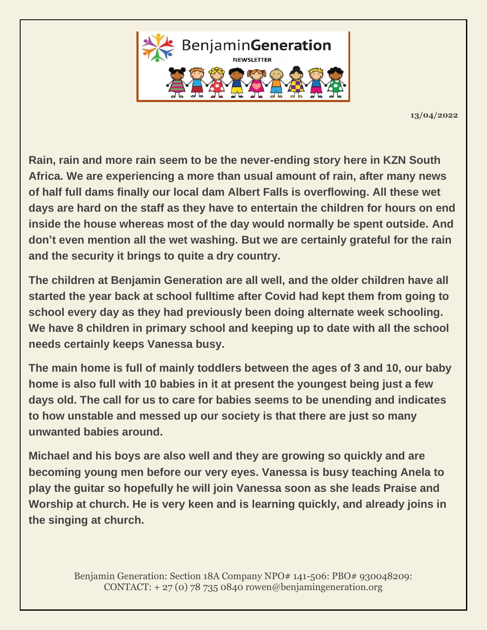

**13/04/2022**

**Rain, rain and more rain seem to be the never-ending story here in KZN South Africa. We are experiencing a more than usual amount of rain, after many news of half full dams finally our local dam Albert Falls is overflowing. All these wet days are hard on the staff as they have to entertain the children for hours on end inside the house whereas most of the day would normally be spent outside. And don't even mention all the wet washing. But we are certainly grateful for the rain and the security it brings to quite a dry country.**

**The children at Benjamin Generation are all well, and the older children have all started the year back at school fulltime after Covid had kept them from going to school every day as they had previously been doing alternate week schooling. We have 8 children in primary school and keeping up to date with all the school needs certainly keeps Vanessa busy.**

**The main home is full of mainly toddlers between the ages of 3 and 10, our baby home is also full with 10 babies in it at present the youngest being just a few days old. The call for us to care for babies seems to be unending and indicates to how unstable and messed up our society is that there are just so many unwanted babies around.**

**Michael and his boys are also well and they are growing so quickly and are becoming young men before our very eyes. Vanessa is busy teaching Anela to play the guitar so hopefully he will join Vanessa soon as she leads Praise and Worship at church. He is very keen and is learning quickly, and already joins in the singing at church.**

> Benjamin Generation: Section 18A Company NPO# 141-506: PBO# 930048209: CONTACT:  $+ 27(0)$  78 735 0840 rowen@benjamingeneration.org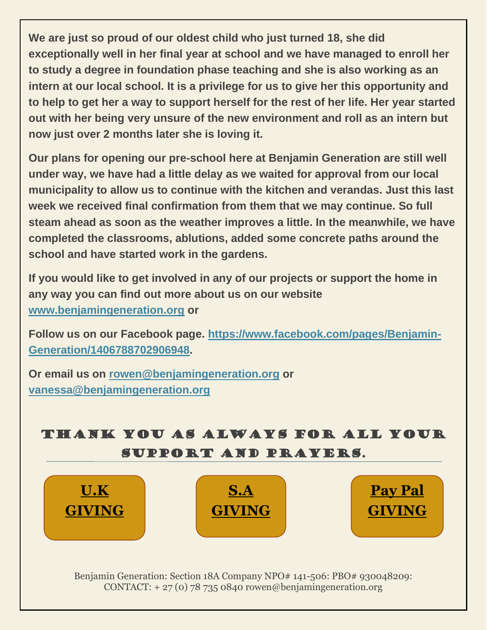**We are just so proud of our oldest child who just turned 18, she did exceptionally well in her final year at school and we have managed to enroll her to study a degree in foundation phase teaching and she is also working as an intern at our local school. It is a privilege for us to give her this opportunity and to help to get her a way to support herself for the rest of her life. Her year started out with her being very unsure of the new environment and roll as an intern but now just over 2 months later she is loving it.**

**Our plans for opening our pre-school here at Benjamin Generation are still well under way, we have had a little delay as we waited for approval from our local municipality to allow us to continue with the kitchen and verandas. Just this last week we received final confirmation from them that we may continue. So full steam ahead as soon as the weather improves a little. In the meanwhile, we have completed the classrooms, ablutions, added some concrete paths around the school and have started work in the gardens.**

**If you would like to get involved in any of our projects or support the home in any way you can find out more about us on our website [www.benjamingeneration.org](http://www.benjamingeneration.org/) or**

**Follow us on our Facebook page. [https://www.facebook.com/pages/Benjamin-](https://www.facebook.com/pages/Benjamin-Generation/1406788702906948)[Generation/1406788702906948.](https://www.facebook.com/pages/Benjamin-Generation/1406788702906948)**

**Or email us on [rowen@benjamingeneration.org](mailto:rowen@benjamingeneration.org) or [vanessa@benjamingeneration.org](mailto:vanessa@benjamingeneration.org)**





Benjamin Generation: Section 18A Company NPO# 141-506: PBO# 930048209: CONTACT:  $+ 27(0) 78 735 0840$  rowen@benjamingeneration.org